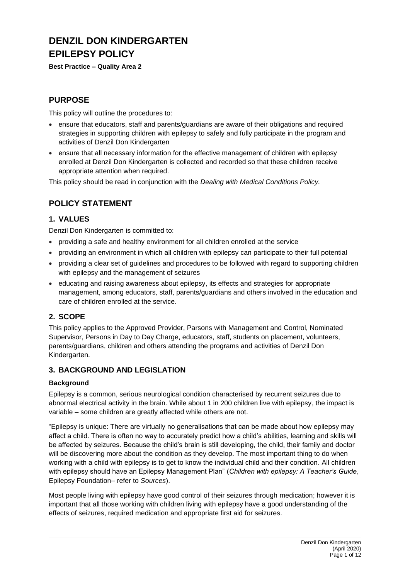# **DENZIL DON KINDERGARTEN EPILEPSY POLICY**

**Best Practice – Quality Area 2**

# **PURPOSE**

This policy will outline the procedures to:

- ensure that educators, staff and parents/guardians are aware of their obligations and required strategies in supporting children with epilepsy to safely and fully participate in the program and activities of Denzil Don Kindergarten
- ensure that all necessary information for the effective management of children with epilepsy enrolled at Denzil Don Kindergarten is collected and recorded so that these children receive appropriate attention when required.

This policy should be read in conjunction with the *Dealing with Medical Conditions Policy.*

# **POLICY STATEMENT**

### **1. VALUES**

Denzil Don Kindergarten is committed to:

- providing a safe and healthy environment for all children enrolled at the service
- providing an environment in which all children with epilepsy can participate to their full potential
- providing a clear set of guidelines and procedures to be followed with regard to supporting children with epilepsy and the management of seizures
- educating and raising awareness about epilepsy, its effects and strategies for appropriate management, among educators, staff, parents/guardians and others involved in the education and care of children enrolled at the service.

### **2. SCOPE**

This policy applies to the Approved Provider, Parsons with Management and Control, Nominated Supervisor, Persons in Day to Day Charge, educators, staff, students on placement, volunteers, parents/guardians, children and others attending the programs and activities of Denzil Don Kindergarten.

### **3. BACKGROUND AND LEGISLATION**

### **Background**

Epilepsy is a common, serious neurological condition characterised by recurrent seizures due to abnormal electrical activity in the brain. While about 1 in 200 children live with epilepsy, the impact is variable – some children are greatly affected while others are not.

"Epilepsy is unique: There are virtually no generalisations that can be made about how epilepsy may affect a child. There is often no way to accurately predict how a child's abilities, learning and skills will be affected by seizures. Because the child's brain is still developing, the child, their family and doctor will be discovering more about the condition as they develop. The most important thing to do when working with a child with epilepsy is to get to know the individual child and their condition. All children with epilepsy should have an Epilepsy Management Plan" (*Children with epilepsy: A Teacher's Guide*, Epilepsy Foundation– refer to *Sources*).

Most people living with epilepsy have good control of their seizures through medication; however it is important that all those working with children living with epilepsy have a good understanding of the effects of seizures, required medication and appropriate first aid for seizures.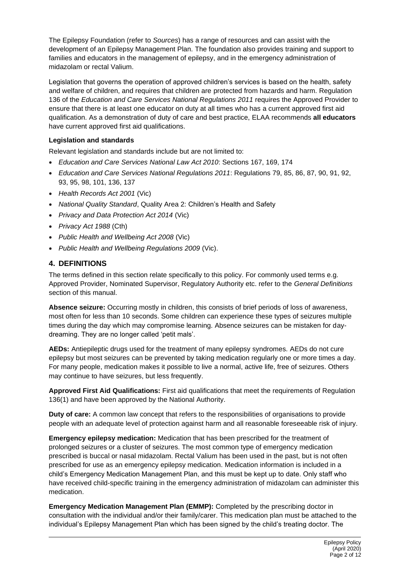The Epilepsy Foundation (refer to *Sources*) has a range of resources and can assist with the development of an Epilepsy Management Plan. The foundation also provides training and support to families and educators in the management of epilepsy, and in the emergency administration of midazolam or rectal Valium.

Legislation that governs the operation of approved children's services is based on the health, safety and welfare of children, and requires that children are protected from hazards and harm. Regulation 136 of the *Education and Care Services National Regulations 2011* requires the Approved Provider to ensure that there is at least one educator on duty at all times who has a current approved first aid qualification. As a demonstration of duty of care and best practice, ELAA recommends **all educators** have current approved first aid qualifications.

### **Legislation and standards**

Relevant legislation and standards include but are not limited to:

- *Education and Care Services National Law Act 2010*: Sections 167, 169, 174
- *Education and Care Services National Regulations 2011*: Regulations 79, 85, 86, 87, 90, 91, 92, 93, 95, 98, 101, 136, 137
- *Health Records Act 2001* (Vic)
- *National Quality Standard*, Quality Area 2: Children's Health and Safety
- *Privacy and Data Protection Act 2014* (Vic)
- *Privacy Act 1988* (Cth)
- *Public Health and Wellbeing Act 2008* (Vic)
- *Public Health and Wellbeing Regulations 2009* (Vic).

### **4. DEFINITIONS**

The terms defined in this section relate specifically to this policy. For commonly used terms e.g. Approved Provider, Nominated Supervisor, Regulatory Authority etc. refer to the *General Definitions* section of this manual.

**Absence seizure:** Occurring mostly in children, this consists of brief periods of loss of awareness, most often for less than 10 seconds. Some children can experience these types of seizures multiple times during the day which may compromise learning. Absence seizures can be mistaken for daydreaming. They are no longer called 'petit mals'.

**AEDs:** Antiepileptic drugs used for the treatment of many epilepsy syndromes. AEDs do not cure epilepsy but most seizures can be prevented by taking medication regularly one or more times a day. For many people, medication makes it possible to live a normal, active life, free of seizures. Others may continue to have seizures, but less frequently.

**Approved First Aid Qualifications:** First aid qualifications that meet the requirements of Regulation 136(1) and have been approved by the National Authority.

**Duty of care:** A common law concept that refers to the responsibilities of organisations to provide people with an adequate level of protection against harm and all reasonable foreseeable risk of injury.

**Emergency epilepsy medication:** Medication that has been prescribed for the treatment of prolonged seizures or a cluster of seizures. The most common type of emergency medication prescribed is buccal or nasal midazolam. Rectal Valium has been used in the past, but is not often prescribed for use as an emergency epilepsy medication. Medication information is included in a child's Emergency Medication Management Plan, and this must be kept up to date. Only staff who have received child-specific training in the emergency administration of midazolam can administer this medication.

**Emergency Medication Management Plan (EMMP):** Completed by the prescribing doctor in consultation with the individual and/or their family/carer. This medication plan must be attached to the individual's Epilepsy Management Plan which has been signed by the child's treating doctor. The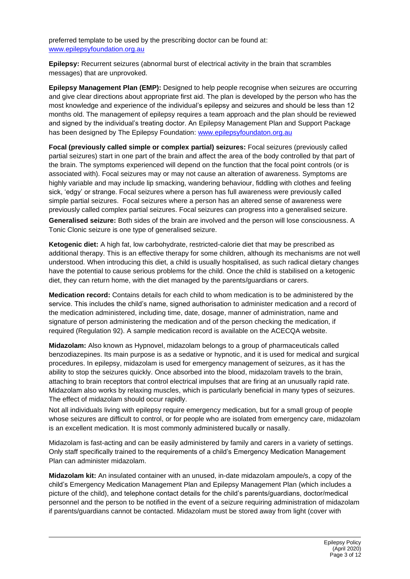preferred template to be used by the prescribing doctor can be found at: [www.epilepsyfoundation.org.au](http://www.epilepsyfoundation.org.au/)

**Epilepsy:** Recurrent seizures (abnormal burst of electrical activity in the brain that scrambles messages) that are unprovoked.

**Epilepsy Management Plan (EMP):** Designed to help people recognise when seizures are occurring and give clear directions about appropriate first aid. The plan is developed by the person who has the most knowledge and experience of the individual's epilepsy and seizures and should be less than 12 months old. The management of epilepsy requires a team approach and the plan should be reviewed and signed by the individual's treating doctor. An Epilepsy Management Plan and Support Package has been designed by The Epilepsy Foundation: [www.epilepsyfoundaton.org.au](http://www.epilepsyfoundaton.org.au/)

**Focal (previously called simple or complex partial) seizures:** Focal seizures (previously called partial seizures) start in one part of the brain and affect the area of the body controlled by that part of the brain. The symptoms experienced will depend on the function that the focal point controls (or is associated with). Focal seizures may or may not cause an alteration of awareness. Symptoms are highly variable and may include lip smacking, wandering behaviour, fiddling with clothes and feeling sick, 'edgy' or strange. Focal seizures where a person has full awareness were previously called simple partial seizures. Focal seizures where a person has an altered sense of awareness were previously called complex partial seizures. Focal seizures can progress into a generalised seizure.

**Generalised seizure:** Both sides of the brain are involved and the person will lose consciousness. A Tonic Clonic seizure is one type of generalised seizure.

**Ketogenic diet:** A high fat, low carbohydrate, restricted-calorie diet that may be prescribed as additional therapy. This is an effective therapy for some children, although its mechanisms are not well understood. When introducing this diet, a child is usually hospitalised, as such radical dietary changes have the potential to cause serious problems for the child. Once the child is stabilised on a ketogenic diet, they can return home, with the diet managed by the parents/guardians or carers.

**Medication record:** Contains details for each child to whom medication is to be administered by the service. This includes the child's name, signed authorisation to administer medication and a record of the medication administered, including time, date, dosage, manner of administration, name and signature of person administering the medication and of the person checking the medication, if required (Regulation 92). A sample medication record is available on the ACECQA website.

**Midazolam:** Also known as Hypnovel, midazolam belongs to a group of pharmaceuticals called benzodiazepines. Its main purpose is as a sedative or hypnotic, and it is used for medical and surgical procedures. In epilepsy, midazolam is used for emergency management of seizures, as it has the ability to stop the seizures quickly. Once absorbed into the blood, midazolam travels to the brain, attaching to brain receptors that control electrical impulses that are firing at an unusually rapid rate. Midazolam also works by relaxing muscles, which is particularly beneficial in many types of seizures. The effect of midazolam should occur rapidly.

Not all individuals living with epilepsy require emergency medication, but for a small group of people whose seizures are difficult to control, or for people who are isolated from emergency care, midazolam is an excellent medication. It is most commonly administered bucally or nasally.

Midazolam is fast-acting and can be easily administered by family and carers in a variety of settings. Only staff specifically trained to the requirements of a child's Emergency Medication Management Plan can administer midazolam.

**Midazolam kit:** An insulated container with an unused, in-date midazolam ampoule/s, a copy of the child's Emergency Medication Management Plan and Epilepsy Management Plan (which includes a picture of the child), and telephone contact details for the child's parents/guardians, doctor/medical personnel and the person to be notified in the event of a seizure requiring administration of midazolam if parents/guardians cannot be contacted. Midazolam must be stored away from light (cover with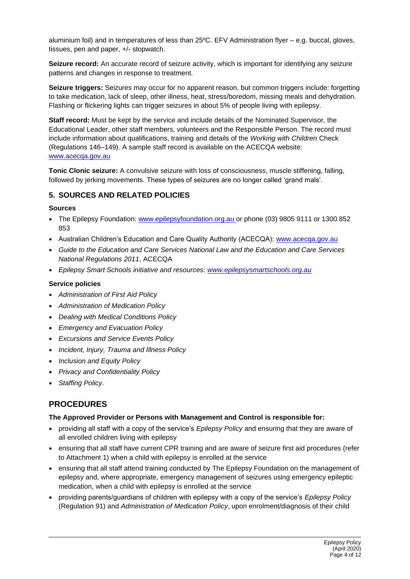aluminium foil) and in temperatures of less than 25ºC. EFV Administration flyer – e.g. buccal, gloves, tissues, pen and paper, +/- stopwatch.

**Seizure record:** An accurate record of seizure activity, which is important for identifying any seizure patterns and changes in response to treatment.

**Seizure triggers:** Seizures may occur for no apparent reason, but common triggers include: forgetting to take medication, lack of sleep, other illness, heat, stress/boredom, missing meals and dehydration. Flashing or flickering lights can trigger seizures in about 5% of people living with epilepsy.

**Staff record:** Must be kept by the service and include details of the Nominated Supervisor, the Educational Leader, other staff members, volunteers and the Responsible Person. The record must include information about qualifications, training and details of the *Working with Children* Check (Regulations 146–149). A sample staff record is available on the ACECQA website: [www.acecqa.gov.au](http://www.acecqa.gov.au/)

**Tonic Clonic seizure:** A convulsive seizure with loss of consciousness, muscle stiffening, falling, followed by jerking movements. These types of seizures are no longer called 'grand mals'.

### **5. SOURCES AND RELATED POLICIES**

#### **Sources**

- The Epilepsy Foundation: [www.epilepsyfoundation.org.au](http://www.epilepsyfoundation.org.au/) or phone (03) 9805 9111 or 1300 852 853
- Australian Children's Education and Care Quality Authority (ACECQA): www.acecga.gov.au
- *Guide to the Education and Care Services National Law and the Education and Care Services National Regulations 2011*, ACECQA
- *Epilepsy Smart Schools initiative and resources: [www.epilepsysmartschools.org.au](http://www.epilepsysmartschools.org.au/)*

#### **Service policies**

- *Administration of First Aid Policy*
- *Administration of Medication Policy*
- *Dealing with Medical Conditions Policy*
- *Emergency and Evacuation Policy*
- *Excursions and Service Events Policy*
- *Incident, Injury, Trauma and Illness Policy*
- *Inclusion and Equity Policy*
- *Privacy and Confidentiality Policy*
- *Staffing Policy.*

### **PROCEDURES**

### **The Approved Provider or Persons with Management and Control is responsible for:**

- providing all staff with a copy of the service's *Epilepsy Policy* and ensuring that they are aware of all enrolled children living with epilepsy
- ensuring that all staff have current CPR training and are aware of seizure first aid procedures (refer to Attachment 1) when a child with epilepsy is enrolled at the service
- ensuring that all staff attend training conducted by The Epilepsy Foundation on the management of epilepsy and, where appropriate, emergency management of seizures using emergency epileptic medication, when a child with epilepsy is enrolled at the service
- providing parents/guardians of children with epilepsy with a copy of the service's *Epilepsy Policy* (Regulation 91) and *Administration of Medication Policy*, upon enrolment/diagnosis of their child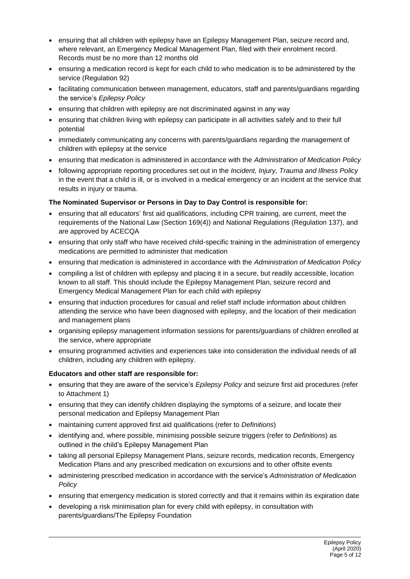- ensuring that all children with epilepsy have an Epilepsy Management Plan, seizure record and, where relevant, an Emergency Medical Management Plan, filed with their enrolment record. Records must be no more than 12 months old
- ensuring a medication record is kept for each child to who medication is to be administered by the service (Regulation 92)
- facilitating communication between management, educators, staff and parents/guardians regarding the service's *Epilepsy Policy*
- ensuring that children with epilepsy are not discriminated against in any way
- ensuring that children living with epilepsy can participate in all activities safely and to their full potential
- immediately communicating any concerns with parents/guardians regarding the management of children with epilepsy at the service
- ensuring that medication is administered in accordance with the *Administration of Medication Policy*
- following appropriate reporting procedures set out in the *Incident, Injury, Trauma and Illness Policy* in the event that a child is ill, or is involved in a medical emergency or an incident at the service that results in injury or trauma.

#### **The Nominated Supervisor or Persons in Day to Day Control is responsible for:**

- ensuring that all educators' first aid qualifications, including CPR training, are current, meet the requirements of the National Law (Section 169(4)) and National Regulations (Regulation 137), and are approved by ACECQA
- ensuring that only staff who have received child-specific training in the administration of emergency medications are permitted to administer that medication
- ensuring that medication is administered in accordance with the *Administration of Medication Policy*
- compiling a list of children with epilepsy and placing it in a secure, but readily accessible, location known to all staff. This should include the Epilepsy Management Plan, seizure record and Emergency Medical Management Plan for each child with epilepsy
- ensuring that induction procedures for casual and relief staff include information about children attending the service who have been diagnosed with epilepsy, and the location of their medication and management plans
- organising epilepsy management information sessions for parents/guardians of children enrolled at the service, where appropriate
- ensuring programmed activities and experiences take into consideration the individual needs of all children, including any children with epilepsy.

#### **Educators and other staff are responsible for:**

- ensuring that they are aware of the service's *Epilepsy Policy* and seizure first aid procedures (refer to Attachment 1)
- ensuring that they can identify children displaying the symptoms of a seizure, and locate their personal medication and Epilepsy Management Plan
- maintaining current approved first aid qualifications (refer to *Definitions*)
- identifying and, where possible, minimising possible seizure triggers (refer to *Definitions*) as outlined in the child's Epilepsy Management Plan
- taking all personal Epilepsy Management Plans, seizure records, medication records, Emergency Medication Plans and any prescribed medication on excursions and to other offsite events
- administering prescribed medication in accordance with the service's *Administration of Medication Policy*
- ensuring that emergency medication is stored correctly and that it remains within its expiration date
- developing a risk minimisation plan for every child with epilepsy, in consultation with parents/guardians/The Epilepsy Foundation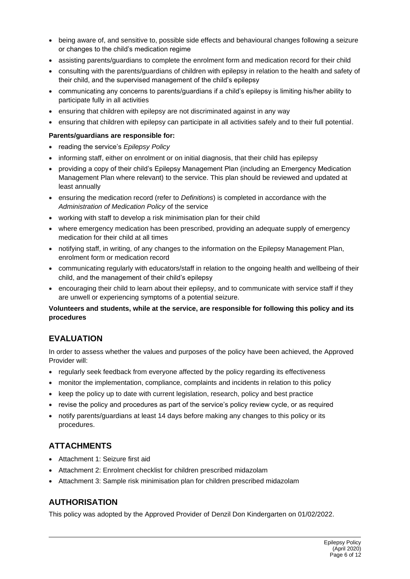- being aware of, and sensitive to, possible side effects and behavioural changes following a seizure or changes to the child's medication regime
- assisting parents/guardians to complete the enrolment form and medication record for their child
- consulting with the parents/guardians of children with epilepsy in relation to the health and safety of their child, and the supervised management of the child's epilepsy
- communicating any concerns to parents/guardians if a child's epilepsy is limiting his/her ability to participate fully in all activities
- ensuring that children with epilepsy are not discriminated against in any way
- ensuring that children with epilepsy can participate in all activities safely and to their full potential.

#### **Parents/guardians are responsible for:**

- reading the service's *Epilepsy Policy*
- informing staff, either on enrolment or on initial diagnosis, that their child has epilepsy
- providing a copy of their child's Epilepsy Management Plan (including an Emergency Medication Management Plan where relevant) to the service. This plan should be reviewed and updated at least annually
- ensuring the medication record (refer to *Definitions*) is completed in accordance with the *Administration of Medication Policy* of the service
- working with staff to develop a risk minimisation plan for their child
- where emergency medication has been prescribed, providing an adequate supply of emergency medication for their child at all times
- notifying staff, in writing, of any changes to the information on the Epilepsy Management Plan, enrolment form or medication record
- communicating regularly with educators/staff in relation to the ongoing health and wellbeing of their child, and the management of their child's epilepsy
- encouraging their child to learn about their epilepsy, and to communicate with service staff if they are unwell or experiencing symptoms of a potential seizure.

### **Volunteers and students, while at the service, are responsible for following this policy and its procedures**

### **EVALUATION**

In order to assess whether the values and purposes of the policy have been achieved, the Approved Provider will:

- regularly seek feedback from everyone affected by the policy regarding its effectiveness
- monitor the implementation, compliance, complaints and incidents in relation to this policy
- keep the policy up to date with current legislation, research, policy and best practice
- revise the policy and procedures as part of the service's policy review cycle, or as required
- notify parents/guardians at least 14 days before making any changes to this policy or its procedures.

### **ATTACHMENTS**

- Attachment 1: Seizure first aid
- Attachment 2: Enrolment checklist for children prescribed midazolam
- Attachment 3: Sample risk minimisation plan for children prescribed midazolam

### **AUTHORISATION**

This policy was adopted by the Approved Provider of Denzil Don Kindergarten on 01/02/2022.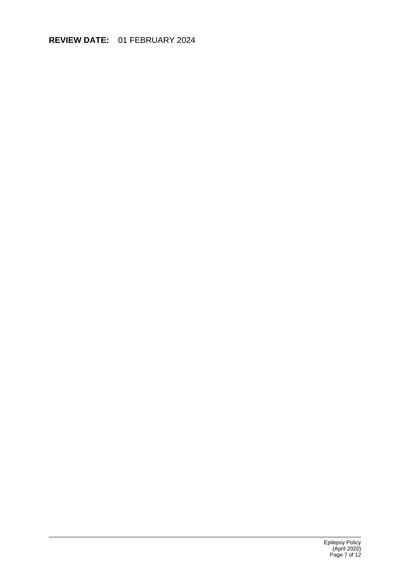# **REVIEW DATE:** 01 FEBRUARY 2024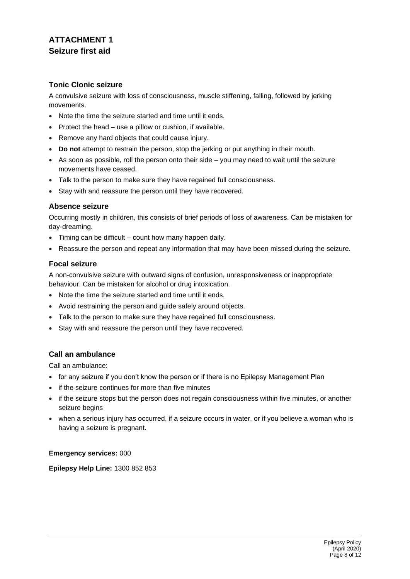# **ATTACHMENT 1 Seizure first aid**

### **Tonic Clonic seizure**

A convulsive seizure with loss of consciousness, muscle stiffening, falling, followed by jerking movements.

- Note the time the seizure started and time until it ends.
- Protect the head use a pillow or cushion, if available.
- Remove any hard objects that could cause injury.
- **Do not** attempt to restrain the person, stop the jerking or put anything in their mouth.
- As soon as possible, roll the person onto their side you may need to wait until the seizure movements have ceased.
- Talk to the person to make sure they have regained full consciousness.
- Stay with and reassure the person until they have recovered.

#### **Absence seizure**

Occurring mostly in children, this consists of brief periods of loss of awareness. Can be mistaken for day-dreaming.

- Timing can be difficult count how many happen daily.
- Reassure the person and repeat any information that may have been missed during the seizure.

### **Focal seizure**

A non-convulsive seizure with outward signs of confusion, unresponsiveness or inappropriate behaviour. Can be mistaken for alcohol or drug intoxication.

- Note the time the seizure started and time until it ends.
- Avoid restraining the person and guide safely around objects.
- Talk to the person to make sure they have regained full consciousness.
- Stay with and reassure the person until they have recovered.

### **Call an ambulance**

Call an ambulance:

- for any seizure if you don't know the person or if there is no Epilepsy Management Plan
- if the seizure continues for more than five minutes
- if the seizure stops but the person does not regain consciousness within five minutes, or another seizure begins
- when a serious injury has occurred, if a seizure occurs in water, or if you believe a woman who is having a seizure is pregnant.

### **Emergency services:** 000

**Epilepsy Help Line:** 1300 852 853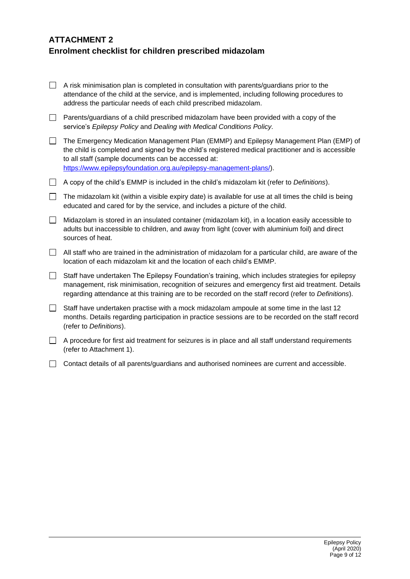# **ATTACHMENT 2 Enrolment checklist for children prescribed midazolam**

|         | A risk minimisation plan is completed in consultation with parents/guardians prior to the<br>attendance of the child at the service, and is implemented, including following procedures to<br>address the particular needs of each child prescribed midazolam.                                                          |
|---------|-------------------------------------------------------------------------------------------------------------------------------------------------------------------------------------------------------------------------------------------------------------------------------------------------------------------------|
| $\Box$  | Parents/guardians of a child prescribed midazolam have been provided with a copy of the<br>service's Epilepsy Policy and Dealing with Medical Conditions Policy.                                                                                                                                                        |
| $\perp$ | The Emergency Medication Management Plan (EMMP) and Epilepsy Management Plan (EMP) of<br>the child is completed and signed by the child's registered medical practitioner and is accessible<br>to all staff (sample documents can be accessed at:<br>https://www.epilepsyfoundation.org.au/epilepsy-management-plans/). |
| $\Box$  | A copy of the child's EMMP is included in the child's midazolam kit (refer to Definitions).                                                                                                                                                                                                                             |
| $\Box$  | The midazolam kit (within a visible expiry date) is available for use at all times the child is being<br>educated and cared for by the service, and includes a picture of the child.                                                                                                                                    |
| $\Box$  | Midazolam is stored in an insulated container (midazolam kit), in a location easily accessible to<br>adults but inaccessible to children, and away from light (cover with aluminium foil) and direct<br>sources of heat.                                                                                                |
| $\Box$  | All staff who are trained in the administration of midazolam for a particular child, are aware of the<br>location of each midazolam kit and the location of each child's EMMP.                                                                                                                                          |
| $\Box$  | Staff have undertaken The Epilepsy Foundation's training, which includes strategies for epilepsy<br>management, risk minimisation, recognition of seizures and emergency first aid treatment. Details<br>regarding attendance at this training are to be recorded on the staff record (refer to Definitions).           |
| $\Box$  | Staff have undertaken practise with a mock midazolam ampoule at some time in the last 12<br>months. Details regarding participation in practice sessions are to be recorded on the staff record<br>(refer to Definitions).                                                                                              |
|         | A procedure for first aid treatment for seizures is in place and all staff understand requirements<br>(refer to Attachment 1).                                                                                                                                                                                          |

Contact details of all parents/guardians and authorised nominees are current and accessible.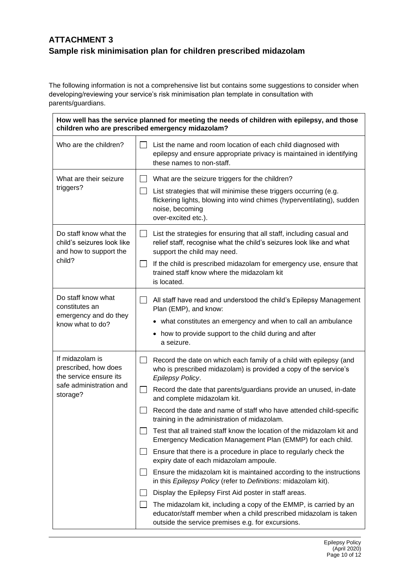# **ATTACHMENT 3 Sample risk minimisation plan for children prescribed midazolam**

The following information is not a comprehensive list but contains some suggestions to consider when developing/reviewing your service's risk minimisation plan template in consultation with parents/guardians.

| How well has the service planned for meeting the needs of children with epilepsy, and those<br>children who are prescribed emergency midazolam? |                                                                                                                                                                                                                                                                                                                                                                                                                                                                                                                                                                                                                                                                                                                                                                                                                                                                                                                                                                                                                                                                               |  |  |  |  |  |
|-------------------------------------------------------------------------------------------------------------------------------------------------|-------------------------------------------------------------------------------------------------------------------------------------------------------------------------------------------------------------------------------------------------------------------------------------------------------------------------------------------------------------------------------------------------------------------------------------------------------------------------------------------------------------------------------------------------------------------------------------------------------------------------------------------------------------------------------------------------------------------------------------------------------------------------------------------------------------------------------------------------------------------------------------------------------------------------------------------------------------------------------------------------------------------------------------------------------------------------------|--|--|--|--|--|
| Who are the children?                                                                                                                           | List the name and room location of each child diagnosed with<br>epilepsy and ensure appropriate privacy is maintained in identifying<br>these names to non-staff.                                                                                                                                                                                                                                                                                                                                                                                                                                                                                                                                                                                                                                                                                                                                                                                                                                                                                                             |  |  |  |  |  |
| What are their seizure<br>triggers?                                                                                                             | What are the seizure triggers for the children?<br>$\Box$<br>List strategies that will minimise these triggers occurring (e.g.<br>flickering lights, blowing into wind chimes (hyperventilating), sudden<br>noise, becoming<br>over-excited etc.).                                                                                                                                                                                                                                                                                                                                                                                                                                                                                                                                                                                                                                                                                                                                                                                                                            |  |  |  |  |  |
| Do staff know what the<br>child's seizures look like<br>and how to support the<br>child?                                                        | List the strategies for ensuring that all staff, including casual and<br>$\mathsf{L}$<br>relief staff, recognise what the child's seizures look like and what<br>support the child may need.<br>$\Box$<br>If the child is prescribed midazolam for emergency use, ensure that<br>trained staff know where the midazolam kit<br>is located.                                                                                                                                                                                                                                                                                                                                                                                                                                                                                                                                                                                                                                                                                                                                    |  |  |  |  |  |
| Do staff know what<br>constitutes an<br>emergency and do they<br>know what to do?                                                               | $\Box$<br>All staff have read and understood the child's Epilepsy Management<br>Plan (EMP), and know:<br>• what constitutes an emergency and when to call an ambulance<br>how to provide support to the child during and after<br>$\bullet$<br>a seizure.                                                                                                                                                                                                                                                                                                                                                                                                                                                                                                                                                                                                                                                                                                                                                                                                                     |  |  |  |  |  |
| If midazolam is<br>prescribed, how does<br>the service ensure its<br>safe administration and<br>storage?                                        | Record the date on which each family of a child with epilepsy (and<br>$\blacksquare$<br>who is prescribed midazolam) is provided a copy of the service's<br>Epilepsy Policy.<br>Record the date that parents/guardians provide an unused, in-date<br>$\mathsf{L}$<br>and complete midazolam kit.<br>Record the date and name of staff who have attended child-specific<br>training in the administration of midazolam<br>Test that all trained staff know the location of the midazolam kit and<br>Emergency Medication Management Plan (EMMP) for each child.<br>Ensure that there is a procedure in place to regularly check the<br>expiry date of each midazolam ampoule.<br>Ensure the midazolam kit is maintained according to the instructions<br>in this Epilepsy Policy (refer to Definitions: midazolam kit).<br>Display the Epilepsy First Aid poster in staff areas.<br>The midazolam kit, including a copy of the EMMP, is carried by an<br>educator/staff member when a child prescribed midazolam is taken<br>outside the service premises e.g. for excursions. |  |  |  |  |  |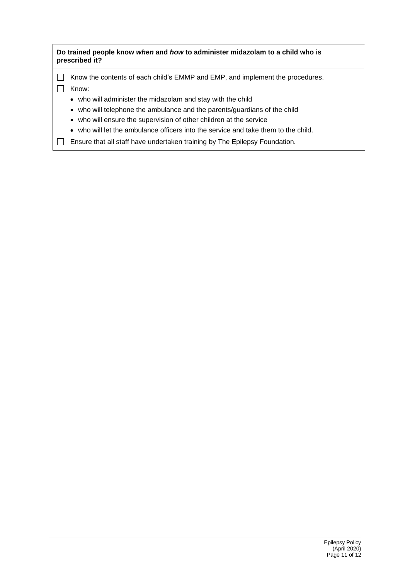| Do trained people know when and how to administer midazolam to a child who is<br>prescribed it? |                                                                                    |  |  |
|-------------------------------------------------------------------------------------------------|------------------------------------------------------------------------------------|--|--|
|                                                                                                 | Know the contents of each child's EMMP and EMP, and implement the procedures.      |  |  |
|                                                                                                 | Know:                                                                              |  |  |
|                                                                                                 | • who will administer the midazolam and stay with the child                        |  |  |
|                                                                                                 | • who will telephone the ambulance and the parents/guardians of the child          |  |  |
|                                                                                                 | • who will ensure the supervision of other children at the service                 |  |  |
|                                                                                                 | • who will let the ambulance officers into the service and take them to the child. |  |  |
|                                                                                                 | Ensure that all staff have undertaken training by The Epilepsy Foundation.         |  |  |